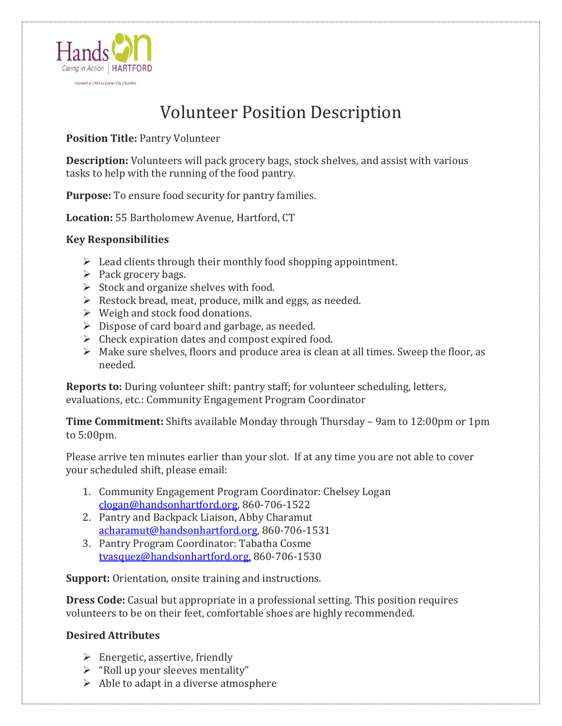

## Volunteer Position Description

**Position Title:** Pantry Volunteer

**Description:** Volunteers will pack grocery bags, stock shelves, and assist with various tasks to help with the running of the food pantry.

**Purpose:** To ensure food security for pantry families.

**Location:** 55 Bartholomew Avenue, Hartford, CT

## **Key Responsibilities**

- $\triangleright$  Lead clients through their monthly food shopping appointment.
- $\triangleright$  Pack grocery bags.
- $\triangleright$  Stock and organize shelves with food.
- ➢ Restock bread, meat, produce, milk and eggs, as needed.
- $\triangleright$  Weigh and stock food donations.
- $\triangleright$  Dispose of card board and garbage, as needed.
- $\triangleright$  Check expiration dates and compost expired food.
- $\triangleright$  Make sure shelves, floors and produce area is clean at all times. Sweep the floor, as needed.

**Reports to:** During volunteer shift: pantry staff; for volunteer scheduling, letters, evaluations, etc.: Community Engagement Program Coordinator

**Time Commitment:** Shifts available Monday through Thursday – 9am to 12:00pm or 1pm to 5:00pm.

Please arrive ten minutes earlier than your slot. If at any time you are not able to cover your scheduled shift, please email:

- 1. Community Engagement Program Coordinator: Chelsey Logan [clogan@handsonhartford.org,](mailto:clogan@handsonhartford.org) 860-706-1522
- 2. Pantry and Backpack Liaison, Abby Charamut [acharamut@handsonhartford.org,](mailto:acharamut@handsonhartford.org) 860-706-1531
- 3. Pantry Program Coordinator: Tabatha Cosme [tvasquez@handsonhartford.org,](mailto:tvasquez@handsonhartford.org) 860-706-1530

**Support:** Orientation, onsite training and instructions.

**Dress Code:** Casual but appropriate in a professional setting. This position requires volunteers to be on their feet, comfortable shoes are highly recommended.

## **Desired Attributes**

- $\triangleright$  Energetic, assertive, friendly
- $\triangleright$  "Roll up your sleeves mentality"
- $\triangleright$  Able to adapt in a diverse atmosphere